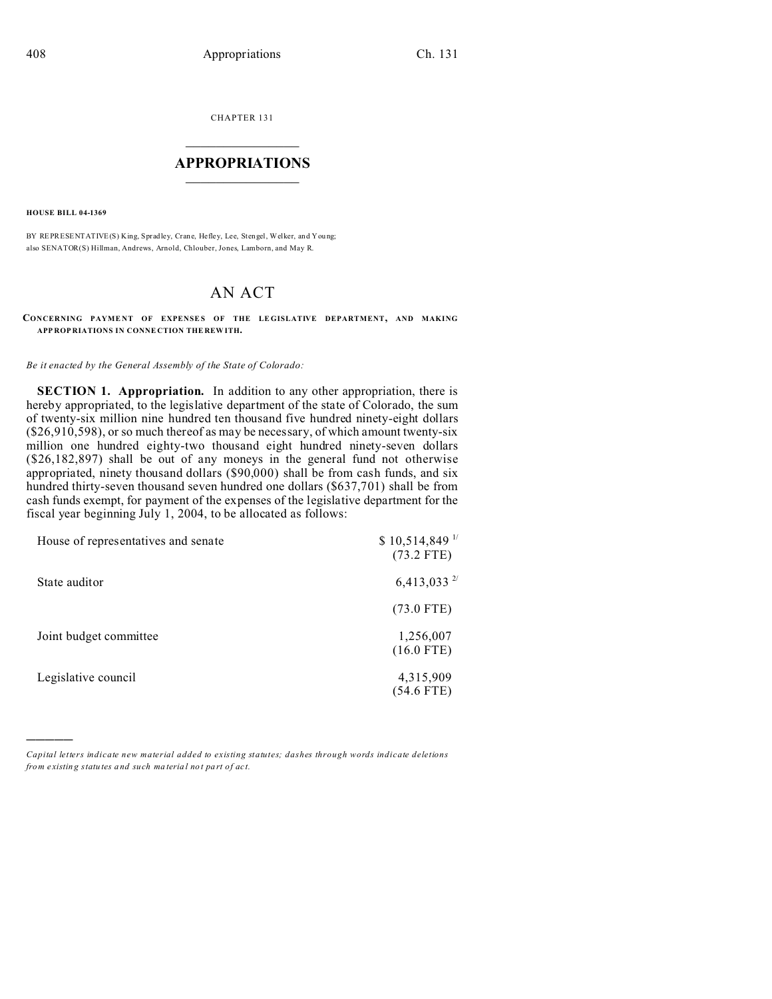CHAPTER 131  $\overline{\phantom{a}}$  , where  $\overline{\phantom{a}}$ 

## **APPROPRIATIONS**  $\_$   $\_$   $\_$   $\_$   $\_$   $\_$   $\_$   $\_$

**HOUSE BILL 04-1369**

)))))

BY REPRESENTATIVE(S) King, Spradley, Crane, Hefley, Lee, Stengel, Welker, and You ng; also SENATOR(S) Hillman, Andrews, Arnold, Chlouber, Jones, Lamborn, and May R.

# AN ACT

#### **CONCERNING PAYME NT OF EXPENSE S OF THE LE GISLATIVE DEPARTMENT, AND MAKING APP ROP RIATIONS IN CONNE CTION THE REW ITH.**

#### *Be it enacted by the General Assembly of the State of Colorado:*

**SECTION 1. Appropriation.** In addition to any other appropriation, there is hereby appropriated, to the legislative department of the state of Colorado, the sum of twenty-six million nine hundred ten thousand five hundred ninety-eight dollars (\$26,910,598), or so much thereof as may be necessary, of which amount twenty-six million one hundred eighty-two thousand eight hundred ninety-seven dollars (\$26,182,897) shall be out of any moneys in the general fund not otherwise appropriated, ninety thousand dollars (\$90,000) shall be from cash funds, and six hundred thirty-seven thousand seven hundred one dollars (\$637,701) shall be from cash funds exempt, for payment of the expenses of the legislative department for the fiscal year beginning July 1, 2004, to be allocated as follows:

| House of representatives and senate | $$10,514,849$ <sup>1/</sup><br>$(73.2$ FTE) |
|-------------------------------------|---------------------------------------------|
| State auditor                       | 6,413,033 $^{2/}$                           |
|                                     | $(73.0 \text{ FTE})$                        |
| Joint budget committee              | 1,256,007<br>$(16.0$ FTE)                   |
| Legislative council                 | 4,315,909<br>(54.6 FTE)                     |

*Capital letters indicate new material added to existing statutes; dashes through words indicate deletions from e xistin g statu tes a nd such ma teria l no t pa rt of ac t.*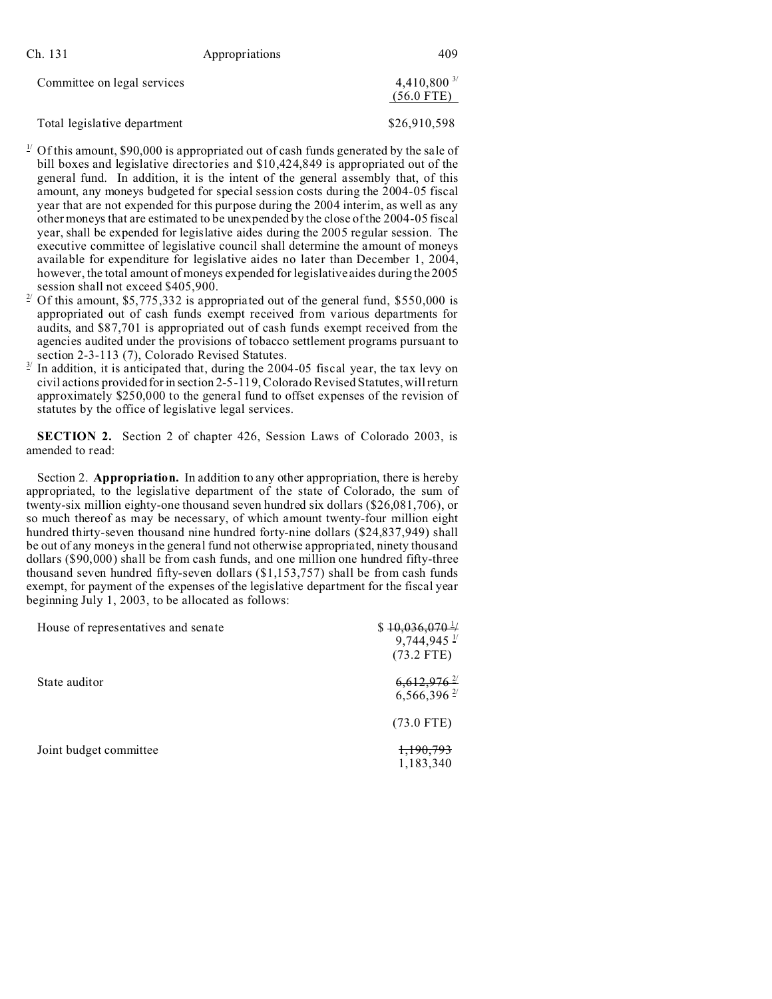| Ch. 131                     | Appropriations | 409            |
|-----------------------------|----------------|----------------|
| Committee on legal services |                | 4,410,800 $3/$ |
|                             |                | $(56.0$ FTE)   |

Total legislative department \$26,910,598

- $1/2$  Of this amount, \$90,000 is appropriated out of cash funds generated by the sale of bill boxes and legislative directories and \$10,424,849 is appropriated out of the general fund. In addition, it is the intent of the general assembly that, of this amount, any moneys budgeted for special session costs during the 2004-05 fiscal year that are not expended for this purpose during the 2004 interim, as well as any other moneys that are estimated to be unexpended by the close of the 2004-05 fiscal year, shall be expended for legislative aides during the 2005 regular session. The executive committee of legislative council shall determine the amount of moneys available for expenditure for legislative aides no later than December 1, 2004, however, the total amount of moneys expended for legislative aides during the 2005 session shall not exceed \$405,900.
- <sup>2/</sup> Of this amount, \$5,775,332 is appropriated out of the general fund, \$550,000 is appropriated out of cash funds exempt received from various departments for audits, and \$87,701 is appropriated out of cash funds exempt received from the agencies audited under the provisions of tobacco settlement programs pursuant to section 2-3-113 (7), Colorado Revised Statutes.
- 3/ In addition, it is anticipated that, during the 2004-05 fiscal year, the tax levy on civil actions provided for in section 2-5-119, Colorado Revised Statutes, will return approximately \$250,000 to the general fund to offset expenses of the revision of statutes by the office of legislative legal services.

**SECTION 2.** Section 2 of chapter 426, Session Laws of Colorado 2003, is amended to read:

Section 2. **Appropriation.** In addition to any other appropriation, there is hereby appropriated, to the legislative department of the state of Colorado, the sum of twenty-six million eighty-one thousand seven hundred six dollars (\$26,081,706), or so much thereof as may be necessary, of which amount twenty-four million eight hundred thirty-seven thousand nine hundred forty-nine dollars (\$24,837,949) shall be out of any moneys in the general fund not otherwise appropriated, ninety thousand dollars (\$90,000) shall be from cash funds, and one million one hundred fifty-three thousand seven hundred fifty-seven dollars (\$1,153,757) shall be from cash funds exempt, for payment of the expenses of the legislative department for the fiscal year beginning July 1, 2003, to be allocated as follows:

| House of representatives and senate | $$10,036,070$ <sup>1</sup> /<br>$9,744,945$ <sup>1/</sup><br>$(73.2$ FTE) |
|-------------------------------------|---------------------------------------------------------------------------|
| State auditor                       | $6,612,976$ <sup>2/</sup><br>$6,566,396$ <sup>2/</sup>                    |
|                                     | $(73.0$ FTE)                                                              |
| Joint budget committee              | <del>1,190,793</del><br>1,183,340                                         |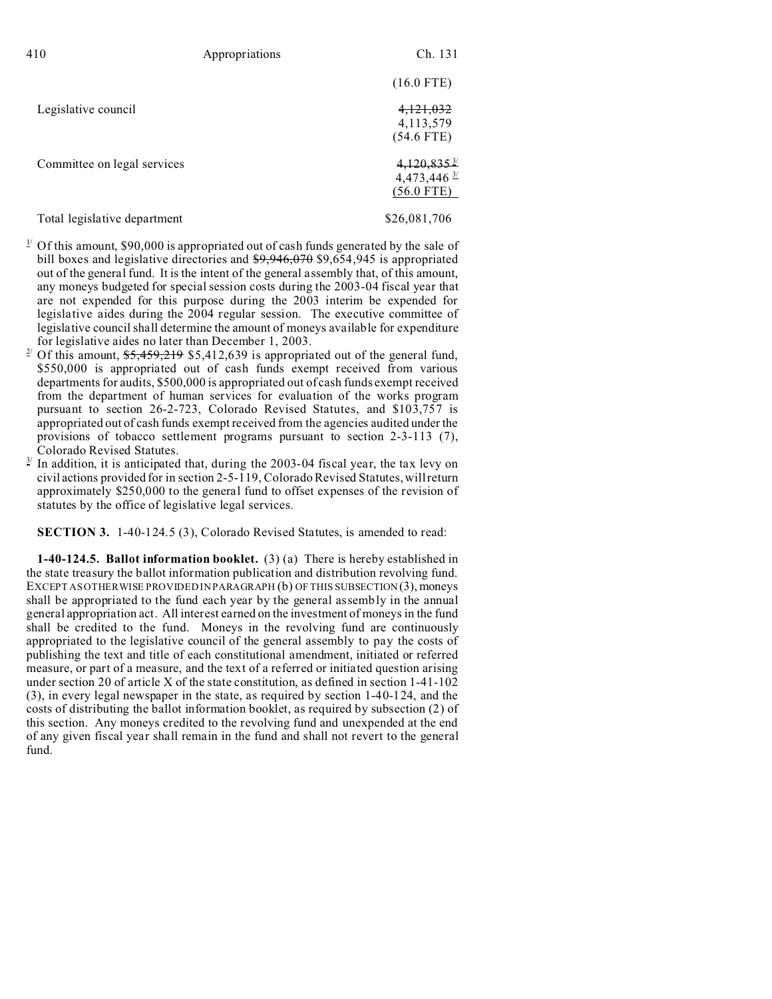| 410                          | Appropriations | Ch. 131                                                              |
|------------------------------|----------------|----------------------------------------------------------------------|
|                              |                | $(16.0$ FTE)                                                         |
| Legislative council          |                | 4,121,032<br>4, 113, 579<br>$(54.6$ FTE)                             |
| Committee on legal services  |                | $4,120,835$ <sup>3/</sup><br>4,473,446 $\frac{3}{2}$<br>$(56.0$ FTE) |
| Total legislative department |                | \$26,081,706                                                         |

- $\frac{1}{2}$  Of this amount, \$90,000 is appropriated out of cash funds generated by the sale of bill boxes and legislative directories and \$9,946,070 \$9,654,945 is appropriated out of the general fund. It is the intent of the general assembly that, of this amount, any moneys budgeted for special session costs during the 2003-04 fiscal year that are not expended for this purpose during the 2003 interim be expended for legislative aides during the 2004 regular session. The executive committee of legislative council shall determine the amount of moneys available for expenditure for legislative aides no later than December 1, 2003.
- Of this amount,  $\frac{25,459,219}{2,5412,639}$  is appropriated out of the general fund, \$550,000 is appropriated out of cash funds exempt received from various departments for audits, \$500,000 is appropriated out of cash funds exempt received from the department of human services for evaluation of the works program pursuant to section 26-2-723, Colorado Revised Statutes, and \$103,757 is appropriated out of cash funds exempt received from the agencies audited under the provisions of tobacco settlement programs pursuant to section 2-3-113 (7), Colorado Revised Statutes.
- $3<sup>3</sup>$  In addition, it is anticipated that, during the 2003-04 fiscal year, the tax levy on civil actions provided for in section 2-5-119, Colorado Revised Statutes, will return approximately \$250,000 to the general fund to offset expenses of the revision of statutes by the office of legislative legal services.

**SECTION 3.** 1-40-124.5 (3), Colorado Revised Statutes, is amended to read:

**1-40-124.5. Ballot information booklet.** (3) (a) There is hereby established in the state treasury the ballot information publication and distribution revolving fund. EXCEPT AS OTHERWISE PROVIDED IN PARAGRAPH (b) OF THIS SUBSECTION (3), moneys shall be appropriated to the fund each year by the general assembly in the annual general appropriation act. All interest earned on the investment of moneys in the fund shall be credited to the fund. Moneys in the revolving fund are continuously appropriated to the legislative council of the general assembly to pay the costs of publishing the text and title of each constitutional amendment, initiated or referred measure, or part of a measure, and the text of a referred or initiated question arising under section 20 of article X of the state constitution, as defined in section 1-41-102 (3), in every legal newspaper in the state, as required by section 1-40-124, and the costs of distributing the ballot information booklet, as required by subsection (2) of this section. Any moneys credited to the revolving fund and unexpended at the end of any given fiscal year shall remain in the fund and shall not revert to the general fund.